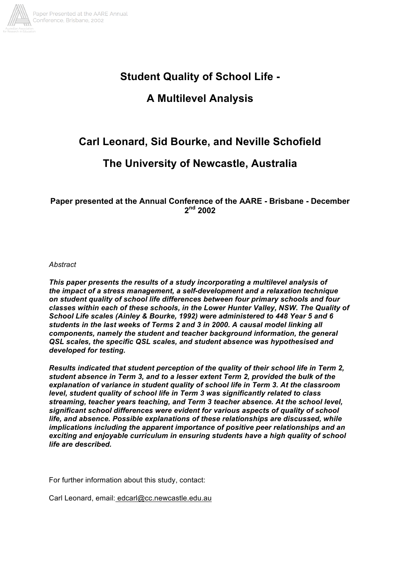

# **Student Quality of School Life -**

# **A Multilevel Analysis**

# **Carl Leonard, Sid Bourke, and Neville Schofield**

# **The University of Newcastle, Australia**

## **Paper presented at the Annual Conference of the AARE - Brisbane - December 2nd 2002**

*Abstract*

*This paper presents the results of a study incorporating a multilevel analysis of the impact of a stress management, a self-development and a relaxation technique on student quality of school life differences between four primary schools and four classes within each of these schools, in the Lower Hunter Valley, NSW. The Quality of School Life scales (Ainley & Bourke, 1992) were administered to 448 Year 5 and 6 students in the last weeks of Terms 2 and 3 in 2000. A causal model linking all components, namely the student and teacher background information, the general QSL scales, the specific QSL scales, and student absence was hypothesised and developed for testing.*

*Results indicated that student perception of the quality of their school life in Term 2, student absence in Term 3, and to a lesser extent Term 2, provided the bulk of the explanation of variance in student quality of school life in Term 3. At the classroom level, student quality of school life in Term 3 was significantly related to class streaming, teacher years teaching, and Term 3 teacher absence. At the school level, significant school differences were evident for various aspects of quality of school life, and absence. Possible explanations of these relationships are discussed, while implications including the apparent importance of positive peer relationships and an exciting and enjoyable curriculum in ensuring students have a high quality of school life are described.*

For further information about this study, contact:

Carl Leonard, email: edcarl@cc.newcastle.edu.au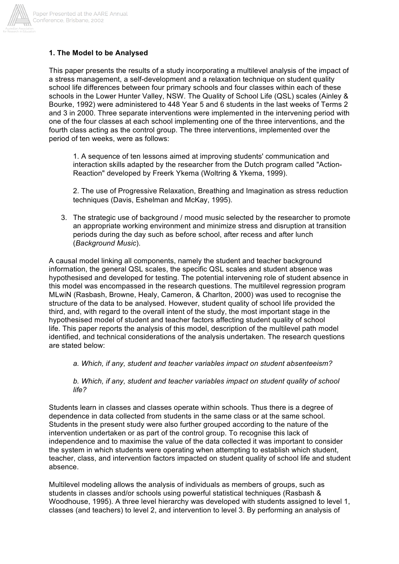

## **1. The Model to be Analysed**

This paper presents the results of a study incorporating a multilevel analysis of the impact of a stress management, a self-development and a relaxation technique on student quality school life differences between four primary schools and four classes within each of these schools in the Lower Hunter Valley, NSW. The Quality of School Life (QSL) scales (Ainley & Bourke, 1992) were administered to 448 Year 5 and 6 students in the last weeks of Terms 2 and 3 in 2000. Three separate interventions were implemented in the intervening period with one of the four classes at each school implementing one of the three interventions, and the fourth class acting as the control group. The three interventions, implemented over the period of ten weeks, were as follows:

1. A sequence of ten lessons aimed at improving students' communication and interaction skills adapted by the researcher from the Dutch program called "Action-Reaction" developed by Freerk Ykema (Woltring & Ykema, 1999).

2. The use of Progressive Relaxation, Breathing and Imagination as stress reduction techniques (Davis, Eshelman and McKay, 1995).

3. The strategic use of background / mood music selected by the researcher to promote an appropriate working environment and minimize stress and disruption at transition periods during the day such as before school, after recess and after lunch (*Background Music*).

A causal model linking all components, namely the student and teacher background information, the general QSL scales, the specific QSL scales and student absence was hypothesised and developed for testing. The potential intervening role of student absence in this model was encompassed in the research questions. The multilevel regression program MLwiN (Rasbash, Browne, Healy, Cameron, & Charlton, 2000) was used to recognise the structure of the data to be analysed. However, student quality of school life provided the third, and, with regard to the overall intent of the study, the most important stage in the hypothesised model of student and teacher factors affecting student quality of school life. This paper reports the analysis of this model, description of the multilevel path model identified, and technical considerations of the analysis undertaken. The research questions are stated below:

*a. Which, if any, student and teacher variables impact on student absenteeism?*

*b. Which, if any, student and teacher variables impact on student quality of school life?*

Students learn in classes and classes operate within schools. Thus there is a degree of dependence in data collected from students in the same class or at the same school. Students in the present study were also further grouped according to the nature of the intervention undertaken or as part of the control group. To recognise this lack of independence and to maximise the value of the data collected it was important to consider the system in which students were operating when attempting to establish which student, teacher, class, and intervention factors impacted on student quality of school life and student absence.

Multilevel modeling allows the analysis of individuals as members of groups, such as students in classes and/or schools using powerful statistical techniques (Rasbash & Woodhouse, 1995). A three level hierarchy was developed with students assigned to level 1, classes (and teachers) to level 2, and intervention to level 3. By performing an analysis of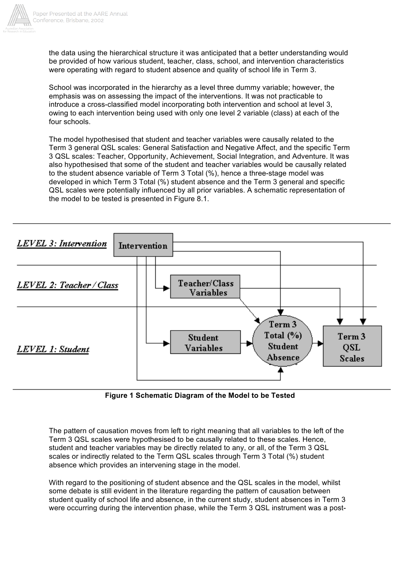

the data using the hierarchical structure it was anticipated that a better understanding would be provided of how various student, teacher, class, school, and intervention characteristics were operating with regard to student absence and quality of school life in Term 3.

School was incorporated in the hierarchy as a level three dummy variable; however, the emphasis was on assessing the impact of the interventions. It was not practicable to introduce a cross-classified model incorporating both intervention and school at level 3, owing to each intervention being used with only one level 2 variable (class) at each of the four schools.

The model hypothesised that student and teacher variables were causally related to the Term 3 general QSL scales: General Satisfaction and Negative Affect, and the specific Term 3 QSL scales: Teacher, Opportunity, Achievement, Social Integration, and Adventure. It was also hypothesised that some of the student and teacher variables would be causally related to the student absence variable of Term 3 Total (%), hence a three-stage model was developed in which Term 3 Total (%) student absence and the Term 3 general and specific QSL scales were potentially influenced by all prior variables. A schematic representation of the model to be tested is presented in Figure 8.1.



**Figure 1 Schematic Diagram of the Model to be Tested**

The pattern of causation moves from left to right meaning that all variables to the left of the Term 3 QSL scales were hypothesised to be causally related to these scales. Hence, student and teacher variables may be directly related to any, or all, of the Term 3 QSL scales or indirectly related to the Term QSL scales through Term 3 Total (%) student absence which provides an intervening stage in the model.

With regard to the positioning of student absence and the QSL scales in the model, whilst some debate is still evident in the literature regarding the pattern of causation between student quality of school life and absence, in the current study, student absences in Term 3 were occurring during the intervention phase, while the Term 3 QSL instrument was a post-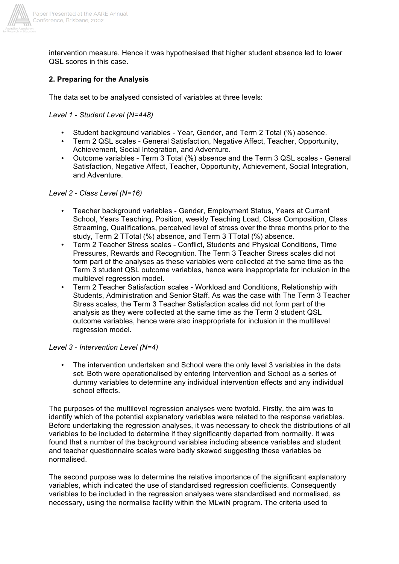

intervention measure. Hence it was hypothesised that higher student absence led to lower QSL scores in this case.

## **2. Preparing for the Analysis**

The data set to be analysed consisted of variables at three levels:

#### *Level 1 - Student Level (N=448)*

- Student background variables Year, Gender, and Term 2 Total (%) absence.
- Term 2 QSL scales General Satisfaction, Negative Affect, Teacher, Opportunity, Achievement, Social Integration, and Adventure.
- Outcome variables Term 3 Total (%) absence and the Term 3 QSL scales General Satisfaction, Negative Affect, Teacher, Opportunity, Achievement, Social Integration, and Adventure.

#### *Level 2 - Class Level (N=16)*

- Teacher background variables Gender, Employment Status, Years at Current School, Years Teaching, Position, weekly Teaching Load, Class Composition, Class Streaming, Qualifications, perceived level of stress over the three months prior to the study, Term 2 TTotal (%) absence, and Term 3 TTotal (%) absence.
- Term 2 Teacher Stress scales Conflict, Students and Physical Conditions, Time Pressures, Rewards and Recognition. The Term 3 Teacher Stress scales did not form part of the analyses as these variables were collected at the same time as the Term 3 student QSL outcome variables, hence were inappropriate for inclusion in the multilevel regression model.
- Term 2 Teacher Satisfaction scales Workload and Conditions, Relationship with Students, Administration and Senior Staff. As was the case with The Term 3 Teacher Stress scales, the Term 3 Teacher Satisfaction scales did not form part of the analysis as they were collected at the same time as the Term 3 student QSL outcome variables, hence were also inappropriate for inclusion in the multilevel regression model.

#### *Level 3 - Intervention Level (N=4)*

• The intervention undertaken and School were the only level 3 variables in the data set. Both were operationalised by entering Intervention and School as a series of dummy variables to determine any individual intervention effects and any individual school effects.

The purposes of the multilevel regression analyses were twofold. Firstly, the aim was to identify which of the potential explanatory variables were related to the response variables. Before undertaking the regression analyses, it was necessary to check the distributions of all variables to be included to determine if they significantly departed from normality. It was found that a number of the background variables including absence variables and student and teacher questionnaire scales were badly skewed suggesting these variables be normalised.

The second purpose was to determine the relative importance of the significant explanatory variables, which indicated the use of standardised regression coefficients. Consequently variables to be included in the regression analyses were standardised and normalised, as necessary, using the normalise facility within the MLwiN program. The criteria used to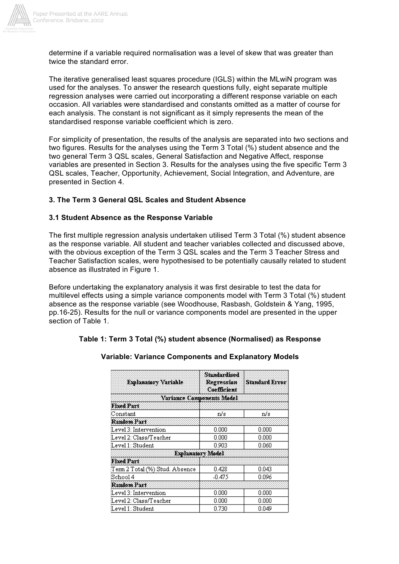

determine if a variable required normalisation was a level of skew that was greater than twice the standard error.

The iterative generalised least squares procedure (IGLS) within the MLwiN program was used for the analyses. To answer the research questions fully, eight separate multiple regression analyses were carried out incorporating a different response variable on each occasion. All variables were standardised and constants omitted as a matter of course for each analysis. The constant is not significant as it simply represents the mean of the standardised response variable coefficient which is zero.

For simplicity of presentation, the results of the analysis are separated into two sections and two figures. Results for the analyses using the Term 3 Total (%) student absence and the two general Term 3 QSL scales, General Satisfaction and Negative Affect, response variables are presented in Section 3. Results for the analyses using the five specific Term 3 QSL scales, Teacher, Opportunity, Achievement, Social Integration, and Adventure, are presented in Section 4.

## **3. The Term 3 General QSL Scales and Student Absence**

#### **3.1 Student Absence as the Response Variable**

The first multiple regression analysis undertaken utilised Term 3 Total (%) student absence as the response variable. All student and teacher variables collected and discussed above, with the obvious exception of the Term 3 QSL scales and the Term 3 Teacher Stress and Teacher Satisfaction scales, were hypothesised to be potentially causally related to student absence as illustrated in Figure 1.

Before undertaking the explanatory analysis it was first desirable to test the data for multilevel effects using a simple variance components model with Term 3 Total (%) student absence as the response variable (see Woodhouse, Rasbash, Goldstein & Yang, 1995, pp.16-25). Results for the null or variance components model are presented in the upper section of Table 1.

| Explanatory Variable              | Standardised<br>Regression<br>Coefficient | <b>Standard Error</b> |
|-----------------------------------|-------------------------------------------|-----------------------|
|                                   | Variance Components Model                 |                       |
| <b>Fixed Part</b>                 |                                           |                       |
| Constant                          | n/s                                       | n/s                   |
| Random Part                       |                                           |                       |
| Level 3: Intervention             | 0.000                                     | 0.000                 |
| Level 2: Class/Teacher            | 0.000                                     | 0.000                 |
| Level 1: Student                  | 0.903                                     | 0.060                 |
|                                   | <b>Explanatory Model</b>                  |                       |
| <b>Fixed Part</b>                 |                                           |                       |
| Term 2 Total (%) Stud. Absence    | 0.428                                     | 0.043                 |
| $\operatorname{\mathbb{S}chool}4$ | -0.475                                    | 0.096                 |
| Random Part                       |                                           |                       |
| Level 3: Intervention             | 0.000                                     | 0.000                 |
| Level 2: Class/Teacher            | 0.000                                     | 0.000                 |
| Level 1: Student                  | 0.730                                     | 0.049                 |

## **Variable: Variance Components and Explanatory Models**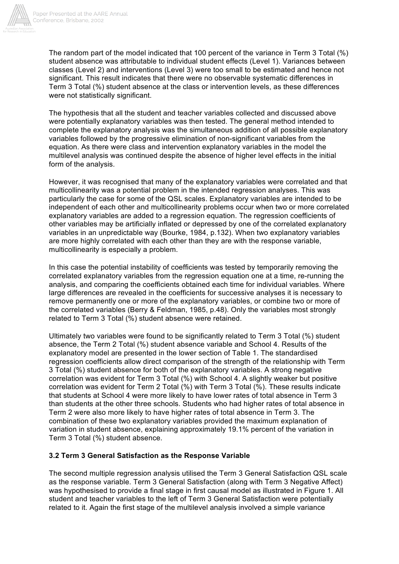

The random part of the model indicated that 100 percent of the variance in Term 3 Total (%) student absence was attributable to individual student effects (Level 1). Variances between classes (Level 2) and interventions (Level 3) were too small to be estimated and hence not significant. This result indicates that there were no observable systematic differences in Term 3 Total (%) student absence at the class or intervention levels, as these differences were not statistically significant.

The hypothesis that all the student and teacher variables collected and discussed above were potentially explanatory variables was then tested. The general method intended to complete the explanatory analysis was the simultaneous addition of all possible explanatory variables followed by the progressive elimination of non-significant variables from the equation. As there were class and intervention explanatory variables in the model the multilevel analysis was continued despite the absence of higher level effects in the initial form of the analysis.

However, it was recognised that many of the explanatory variables were correlated and that multicollinearity was a potential problem in the intended regression analyses. This was particularly the case for some of the QSL scales. Explanatory variables are intended to be independent of each other and multicollinearity problems occur when two or more correlated explanatory variables are added to a regression equation. The regression coefficients of other variables may be artificially inflated or depressed by one of the correlated explanatory variables in an unpredictable way (Bourke, 1984, p.132). When two explanatory variables are more highly correlated with each other than they are with the response variable, multicollinearity is especially a problem.

In this case the potential instability of coefficients was tested by temporarily removing the correlated explanatory variables from the regression equation one at a time, re-running the analysis, and comparing the coefficients obtained each time for individual variables. Where large differences are revealed in the coefficients for successive analyses it is necessary to remove permanently one or more of the explanatory variables, or combine two or more of the correlated variables (Berry & Feldman, 1985, p.48). Only the variables most strongly related to Term 3 Total (%) student absence were retained.

Ultimately two variables were found to be significantly related to Term 3 Total (%) student absence, the Term 2 Total (%) student absence variable and School 4. Results of the explanatory model are presented in the lower section of Table 1. The standardised regression coefficients allow direct comparison of the strength of the relationship with Term 3 Total (%) student absence for both of the explanatory variables. A strong negative correlation was evident for Term 3 Total (%) with School 4. A slightly weaker but positive correlation was evident for Term 2 Total (%) with Term 3 Total (%). These results indicate that students at School 4 were more likely to have lower rates of total absence in Term 3 than students at the other three schools. Students who had higher rates of total absence in Term 2 were also more likely to have higher rates of total absence in Term 3. The combination of these two explanatory variables provided the maximum explanation of variation in student absence, explaining approximately 19.1% percent of the variation in Term 3 Total (%) student absence.

## **3.2 Term 3 General Satisfaction as the Response Variable**

The second multiple regression analysis utilised the Term 3 General Satisfaction QSL scale as the response variable. Term 3 General Satisfaction (along with Term 3 Negative Affect) was hypothesised to provide a final stage in first causal model as illustrated in Figure 1. All student and teacher variables to the left of Term 3 General Satisfaction were potentially related to it. Again the first stage of the multilevel analysis involved a simple variance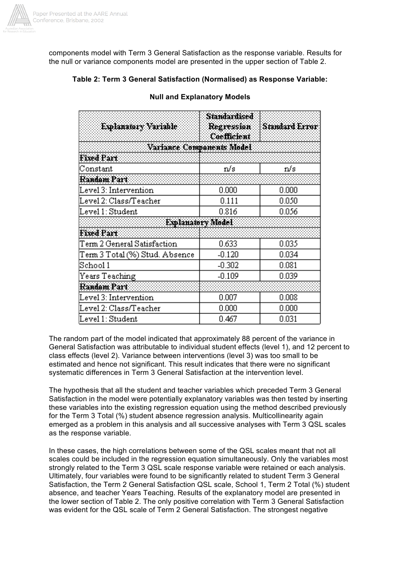

components model with Term 3 General Satisfaction as the response variable. Results for the null or variance components model are presented in the upper section of Table 2.

## **Table 2: Term 3 General Satisfaction (Normalised) as Response Variable:**

| Explanatory Variable           | <b>Standardised</b><br>Regression<br>Coefficient | <b>Standard Error</b> |
|--------------------------------|--------------------------------------------------|-----------------------|
|                                | Variance Companents Model                        |                       |
| Fixed Part                     |                                                  |                       |
| Constant                       | n/s                                              | n/s                   |
| Random Part                    |                                                  |                       |
| Level 3: Intervention          | 0.000                                            | 0.000                 |
| Level 2: Class/Teacher         | 0.111                                            | 0.050                 |
| Level 1: Student               | 0.816                                            | 0.056                 |
|                                | Explanatory Model                                |                       |
| <b>Fixed Part</b>              |                                                  |                       |
| Term 2 General Satisfaction    | 0.633                                            | 0.035                 |
| Term 3 Total (%) Stud. Absence | $-0.120$                                         | 0.034                 |
| $\operatorname{Stool}1$        | $-0.302$                                         | 0.081                 |
| Years Teaching                 | $-0.109$                                         | 0.039                 |
| Random Part                    |                                                  |                       |
| Level 3: Intervention          | 0.007                                            | 0.008                 |
| Level 2: Class/Teacher         | 0.000                                            | $0.000\,$             |
| Level 1: Student               | 0.467                                            | 0.031                 |

## **Null and Explanatory Models**

The random part of the model indicated that approximately 88 percent of the variance in General Satisfaction was attributable to individual student effects (level 1), and 12 percent to class effects (level 2). Variance between interventions (level 3) was too small to be estimated and hence not significant. This result indicates that there were no significant systematic differences in Term 3 General Satisfaction at the intervention level.

The hypothesis that all the student and teacher variables which preceded Term 3 General Satisfaction in the model were potentially explanatory variables was then tested by inserting these variables into the existing regression equation using the method described previously for the Term 3 Total (%) student absence regression analysis. Multicollinearity again emerged as a problem in this analysis and all successive analyses with Term 3 QSL scales as the response variable.

In these cases, the high correlations between some of the QSL scales meant that not all scales could be included in the regression equation simultaneously. Only the variables most strongly related to the Term 3 QSL scale response variable were retained or each analysis. Ultimately, four variables were found to be significantly related to student Term 3 General Satisfaction, the Term 2 General Satisfaction QSL scale, School 1, Term 2 Total (%) student absence, and teacher Years Teaching. Results of the explanatory model are presented in the lower section of Table 2. The only positive correlation with Term 3 General Satisfaction was evident for the QSL scale of Term 2 General Satisfaction. The strongest negative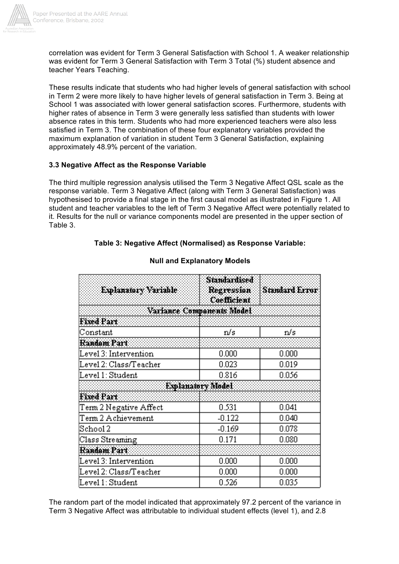

correlation was evident for Term 3 General Satisfaction with School 1. A weaker relationship was evident for Term 3 General Satisfaction with Term 3 Total (%) student absence and teacher Years Teaching.

These results indicate that students who had higher levels of general satisfaction with school in Term 2 were more likely to have higher levels of general satisfaction in Term 3. Being at School 1 was associated with lower general satisfaction scores. Furthermore, students with higher rates of absence in Term 3 were generally less satisfied than students with lower absence rates in this term. Students who had more experienced teachers were also less satisfied in Term 3. The combination of these four explanatory variables provided the maximum explanation of variation in student Term 3 General Satisfaction, explaining approximately 48.9% percent of the variation.

#### **3.3 Negative Affect as the Response Variable**

The third multiple regression analysis utilised the Term 3 Negative Affect QSL scale as the response variable. Term 3 Negative Affect (along with Term 3 General Satisfaction) was hypothesised to provide a final stage in the first causal model as illustrated in Figure 1. All student and teacher variables to the left of Term 3 Negative Affect were potentially related to it. Results for the null or variance components model are presented in the upper section of Table 3.

## **Table 3: Negative Affect (Normalised) as Response Variable:**

| Explanatory Variable    | <b>Standardised</b><br>Regression<br><b>Coefficient</b> | <b>Standard Error</b> |
|-------------------------|---------------------------------------------------------|-----------------------|
|                         | Variance Companents Model                               |                       |
| <b>Fixed Part</b>       |                                                         |                       |
| Constant                | n/s                                                     | n/s                   |
| Random Part             |                                                         |                       |
| Level 3: Intervention   | 0.000                                                   | 0.000                 |
| Level 2: Class/Teacher  | 0.023                                                   | 0.019                 |
| Level 1: Student        | 0.816                                                   | 0.056                 |
|                         | Explanatory Model                                       |                       |
| Fixed Part              |                                                         |                       |
| Term 2 Negative Affect  | 0.531                                                   | 0.041                 |
| Term 2 Achievement      | $-0.122$                                                | 0.040                 |
| $\operatorname{Stool}2$ | $-0.169$                                                | 0.078                 |
| Class Streaming         | 0.171                                                   | 0.080                 |
| Random Part             |                                                         |                       |
| Level 3: Intervention   | 0.000                                                   | 0.000                 |
| Level 2: Class/Teacher  | 0.000                                                   | 0.000                 |
| Level 1: Student        | 0.526                                                   | 0.035                 |

#### **Null and Explanatory Models**

The random part of the model indicated that approximately 97.2 percent of the variance in Term 3 Negative Affect was attributable to individual student effects (level 1), and 2.8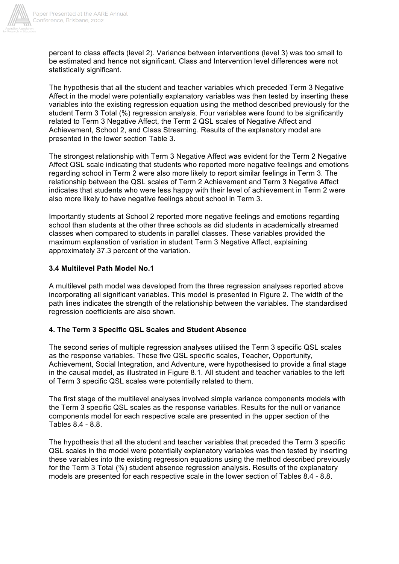

percent to class effects (level 2). Variance between interventions (level 3) was too small to be estimated and hence not significant. Class and Intervention level differences were not statistically significant.

The hypothesis that all the student and teacher variables which preceded Term 3 Negative Affect in the model were potentially explanatory variables was then tested by inserting these variables into the existing regression equation using the method described previously for the student Term 3 Total (%) regression analysis. Four variables were found to be significantly related to Term 3 Negative Affect, the Term 2 QSL scales of Negative Affect and Achievement, School 2, and Class Streaming. Results of the explanatory model are presented in the lower section Table 3.

The strongest relationship with Term 3 Negative Affect was evident for the Term 2 Negative Affect QSL scale indicating that students who reported more negative feelings and emotions regarding school in Term 2 were also more likely to report similar feelings in Term 3. The relationship between the QSL scales of Term 2 Achievement and Term 3 Negative Affect indicates that students who were less happy with their level of achievement in Term 2 were also more likely to have negative feelings about school in Term 3.

Importantly students at School 2 reported more negative feelings and emotions regarding school than students at the other three schools as did students in academically streamed classes when compared to students in parallel classes. These variables provided the maximum explanation of variation in student Term 3 Negative Affect, explaining approximately 37.3 percent of the variation.

## **3.4 Multilevel Path Model No.1**

A multilevel path model was developed from the three regression analyses reported above incorporating all significant variables. This model is presented in Figure 2. The width of the path lines indicates the strength of the relationship between the variables. The standardised regression coefficients are also shown.

## **4. The Term 3 Specific QSL Scales and Student Absence**

The second series of multiple regression analyses utilised the Term 3 specific QSL scales as the response variables. These five QSL specific scales, Teacher, Opportunity, Achievement, Social Integration, and Adventure, were hypothesised to provide a final stage in the causal model, as illustrated in Figure 8.1. All student and teacher variables to the left of Term 3 specific QSL scales were potentially related to them.

The first stage of the multilevel analyses involved simple variance components models with the Term 3 specific QSL scales as the response variables. Results for the null or variance components model for each respective scale are presented in the upper section of the Tables 8.4 - 8.8.

The hypothesis that all the student and teacher variables that preceded the Term 3 specific QSL scales in the model were potentially explanatory variables was then tested by inserting these variables into the existing regression equations using the method described previously for the Term 3 Total (%) student absence regression analysis. Results of the explanatory models are presented for each respective scale in the lower section of Tables 8.4 - 8.8.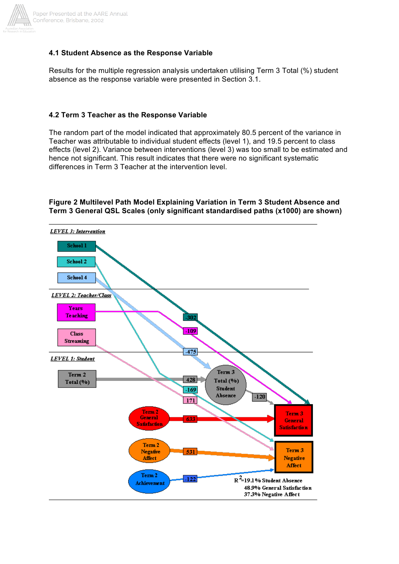

## **4.1 Student Absence as the Response Variable**

Results for the multiple regression analysis undertaken utilising Term 3 Total (%) student absence as the response variable were presented in Section 3.1.

## **4.2 Term 3 Teacher as the Response Variable**

The random part of the model indicated that approximately 80.5 percent of the variance in Teacher was attributable to individual student effects (level 1), and 19.5 percent to class effects (level 2). Variance between interventions (level 3) was too small to be estimated and hence not significant. This result indicates that there were no significant systematic differences in Term 3 Teacher at the intervention level.

## **Figure 2 Multilevel Path Model Explaining Variation in Term 3 Student Absence and Term 3 General QSL Scales (only significant standardised paths (x1000) are shown)**

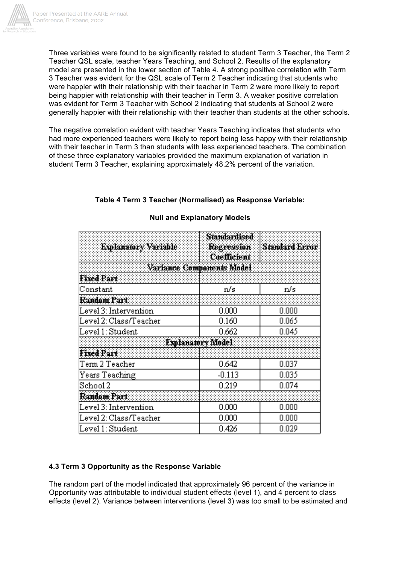

Three variables were found to be significantly related to student Term 3 Teacher, the Term 2 Teacher QSL scale, teacher Years Teaching, and School 2. Results of the explanatory model are presented in the lower section of Table 4. A strong positive correlation with Term 3 Teacher was evident for the QSL scale of Term 2 Teacher indicating that students who were happier with their relationship with their teacher in Term 2 were more likely to report being happier with relationship with their teacher in Term 3. A weaker positive correlation was evident for Term 3 Teacher with School 2 indicating that students at School 2 were generally happier with their relationship with their teacher than students at the other schools.

The negative correlation evident with teacher Years Teaching indicates that students who had more experienced teachers were likely to report being less happy with their relationship with their teacher in Term 3 than students with less experienced teachers. The combination of these three explanatory variables provided the maximum explanation of variation in student Term 3 Teacher, explaining approximately 48.2% percent of the variation.

## **Table 4 Term 3 Teacher (Normalised) as Response Variable:**

| Explanatory Variable      | <b>Standardised</b><br>Regression<br>Coefficient | <b>Standard Error</b> |
|---------------------------|--------------------------------------------------|-----------------------|
| Variance Companents Model |                                                  |                       |
| <b>Fixed Part</b>         |                                                  |                       |
| Constant                  | n/s                                              | n/s                   |
| Random Part               |                                                  |                       |
| Level 3: Intervention     | 0.000                                            | 0.000                 |
| Level 2: Class/Teacher    | 0.160                                            | 0.065                 |
| Level 1: Student          | 0.662                                            | 0.045                 |
|                           | Explanatory Model                                |                       |
| <b>Fixed Part</b>         |                                                  |                       |
| Term 2 Teacher            | 0.642                                            | 0.037                 |
| Years Teaching            | $-0.113$                                         | 0.035                 |
| $\operatorname{Stool}2$   | 0.219                                            | 0.074                 |
| Random Part               |                                                  |                       |
| Level 3: Intervention     | 0.000                                            | 0.000                 |
| Level 2: Class/Teacher    | 0.000                                            | $0.000\,$             |
| Level 1: Student          | 0.426                                            | 0.029                 |

## **Null and Explanatory Models**

## **4.3 Term 3 Opportunity as the Response Variable**

The random part of the model indicated that approximately 96 percent of the variance in Opportunity was attributable to individual student effects (level 1), and 4 percent to class effects (level 2). Variance between interventions (level 3) was too small to be estimated and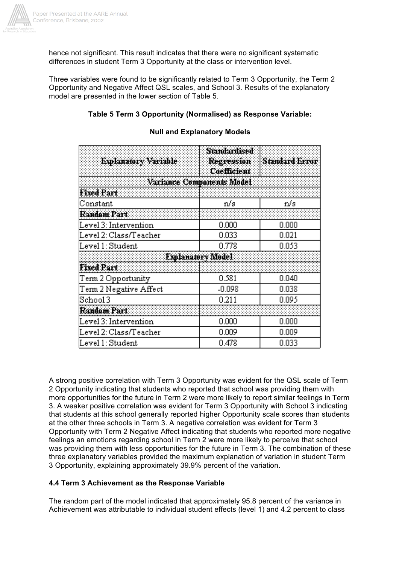

hence not significant. This result indicates that there were no significant systematic differences in student Term 3 Opportunity at the class or intervention level.

Three variables were found to be significantly related to Term 3 Opportunity, the Term 2 Opportunity and Negative Affect QSL scales, and School 3. Results of the explanatory model are presented in the lower section of Table 5.

## **Table 5 Term 3 Opportunity (Normalised) as Response Variable:**

| Explanatory Variable      | Standardised<br>Regression<br><b>Coefficient</b> | Standard Error |
|---------------------------|--------------------------------------------------|----------------|
| Variance Companents Model |                                                  |                |
| <b>Fixed Part</b>         |                                                  |                |
| Constant                  | n/s                                              | n/s            |
| Random Part               |                                                  |                |
| Level 3: Intervention     | 0.000                                            | 0.000          |
| Level 2: Class/Teacher    | 0.033                                            | 0.021          |
| Level 1: Student          | 0.778                                            | 0.053          |
|                           | Explanatory Model                                |                |
| Fixed Part                |                                                  |                |
| Term 2 Opportunity        | 0.581                                            | 0.040          |
| Term 2 Negative Affect    | $-0.098$                                         | 0.038          |
| $\operatorname{Stool}3$   | 0.211                                            | 0.095          |
| Random Part               |                                                  |                |
| Level 3: Intervention     | 0.000                                            | $0.000\,$      |
| Level 2: Class/Teacher    | 0.009                                            | 0.009          |
| Level 1: Student          | 0.478                                            | 0.033          |

#### **Null and Explanatory Models**

A strong positive correlation with Term 3 Opportunity was evident for the QSL scale of Term 2 Opportunity indicating that students who reported that school was providing them with more opportunities for the future in Term 2 were more likely to report similar feelings in Term 3. A weaker positive correlation was evident for Term 3 Opportunity with School 3 indicating that students at this school generally reported higher Opportunity scale scores than students at the other three schools in Term 3. A negative correlation was evident for Term 3 Opportunity with Term 2 Negative Affect indicating that students who reported more negative feelings an emotions regarding school in Term 2 were more likely to perceive that school was providing them with less opportunities for the future in Term 3. The combination of these three explanatory variables provided the maximum explanation of variation in student Term 3 Opportunity, explaining approximately 39.9% percent of the variation.

## **4.4 Term 3 Achievement as the Response Variable**

The random part of the model indicated that approximately 95.8 percent of the variance in Achievement was attributable to individual student effects (level 1) and 4.2 percent to class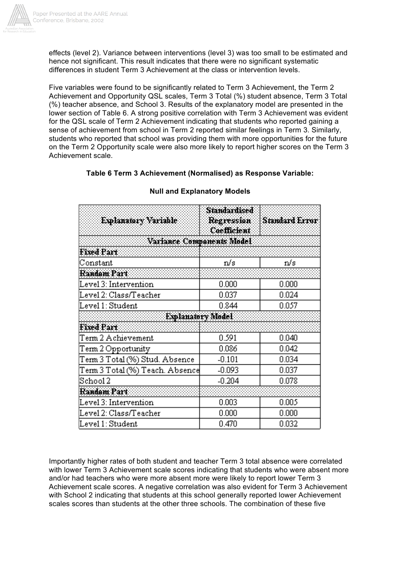

effects (level 2). Variance between interventions (level 3) was too small to be estimated and hence not significant. This result indicates that there were no significant systematic differences in student Term 3 Achievement at the class or intervention levels.

Five variables were found to be significantly related to Term 3 Achievement, the Term 2 Achievement and Opportunity QSL scales, Term 3 Total (%) student absence, Term 3 Total (%) teacher absence, and School 3. Results of the explanatory model are presented in the lower section of Table 6. A strong positive correlation with Term 3 Achievement was evident for the QSL scale of Term 2 Achievement indicating that students who reported gaining a sense of achievement from school in Term 2 reported similar feelings in Term 3. Similarly, students who reported that school was providing them with more opportunities for the future on the Term 2 Opportunity scale were also more likely to report higher scores on the Term 3 Achievement scale.

## **Table 6 Term 3 Achievement (Normalised) as Response Variable:**

| Explanatory Variable            | <b>Standardised</b><br>Regression<br>Coefficient | Standard Error |
|---------------------------------|--------------------------------------------------|----------------|
| Variance Companents Model       |                                                  |                |
| <b>Fixed Part</b>               |                                                  |                |
| Constant                        | n/s                                              | n/s            |
| Random Part                     |                                                  |                |
| Level 3: Intervention           | 0.000                                            | 0.000          |
| Level 2: Class/Teacher          | 0.037                                            | 0.024          |
| Level 1: Student                | 0.844                                            | 0.057          |
| Explanatory Model               |                                                  |                |
| <b>Fixed Part</b>               |                                                  |                |
| Term 2 Achievement              | 0.591                                            | 0.040          |
| Term 2 Opportunity              | 0.086                                            | 0.042          |
| Term 3 Total (%) Stud. Absence  | $-0.101$                                         | 0.034          |
| Term 3 Total (%) Teach. Absence | $-0.093$                                         | 0.037          |
| $\operatorname{Stool}2$         | $-0.204$                                         | 0.078          |
| Random Part                     |                                                  |                |
| Level 3: Intervention           | 0.003                                            | 0.005          |
| Level 2: Class/Teacher          | 0.000                                            | 0.000          |
| Level 1: Student                | 0.470                                            | 0.032          |

## **Null and Explanatory Models**

Importantly higher rates of both student and teacher Term 3 total absence were correlated with lower Term 3 Achievement scale scores indicating that students who were absent more and/or had teachers who were more absent more were likely to report lower Term 3 Achievement scale scores. A negative correlation was also evident for Term 3 Achievement with School 2 indicating that students at this school generally reported lower Achievement scales scores than students at the other three schools. The combination of these five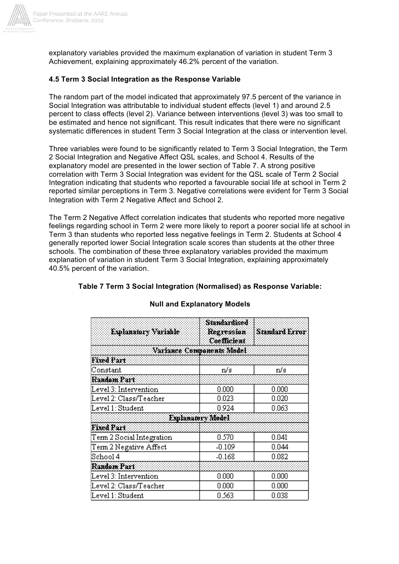

explanatory variables provided the maximum explanation of variation in student Term 3 Achievement, explaining approximately 46.2% percent of the variation.

## **4.5 Term 3 Social Integration as the Response Variable**

The random part of the model indicated that approximately 97.5 percent of the variance in Social Integration was attributable to individual student effects (level 1) and around 2.5 percent to class effects (level 2). Variance between interventions (level 3) was too small to be estimated and hence not significant. This result indicates that there were no significant systematic differences in student Term 3 Social Integration at the class or intervention level.

Three variables were found to be significantly related to Term 3 Social Integration, the Term 2 Social Integration and Negative Affect QSL scales, and School 4. Results of the explanatory model are presented in the lower section of Table 7. A strong positive correlation with Term 3 Social Integration was evident for the QSL scale of Term 2 Social Integration indicating that students who reported a favourable social life at school in Term 2 reported similar perceptions in Term 3. Negative correlations were evident for Term 3 Social Integration with Term 2 Negative Affect and School 2.

The Term 2 Negative Affect correlation indicates that students who reported more negative feelings regarding school in Term 2 were more likely to report a poorer social life at school in Term 3 than students who reported less negative feelings in Term 2. Students at School 4 generally reported lower Social Integration scale scores than students at the other three schools. The combination of these three explanatory variables provided the maximum explanation of variation in student Term 3 Social Integration, explaining approximately 40.5% percent of the variation.

| Explanatory Variable      | <b>Standardised</b><br>Regression<br>Coefficient | <b>Standard Error</b> |
|---------------------------|--------------------------------------------------|-----------------------|
|                           | Variance Companents Model                        |                       |
| <b>Fixed Part</b>         |                                                  |                       |
| Constant                  | n/s                                              | n/s                   |
| Random Part               |                                                  |                       |
| Level 3: Intervention     | 0.000                                            | 0.000                 |
| Level 2: Class/Teacher    | 0.023                                            | 0.020                 |
| Level 1: Student          | 0.924                                            | 0.063                 |
|                           | Explanatory Model                                |                       |
| Fixed Part                |                                                  |                       |
| Term 2 Social Integration | 0.570                                            | 0.041                 |
| Term 2 Negative Affect    | $-0.109$                                         | 0.044                 |
| $\operatorname{Stool}4$   | $-0.168$                                         | 0.082                 |
| Random Part               |                                                  |                       |
| Level 3: Intervention     | 0.000                                            | 0.000                 |
| Level 2: Class/Teacher    | 0.000                                            | 0.000                 |
| Level 1: Student          | 0.563                                            | 0.038                 |

## **Null and Explanatory Models**

**Table 7 Term 3 Social Integration (Normalised) as Response Variable:**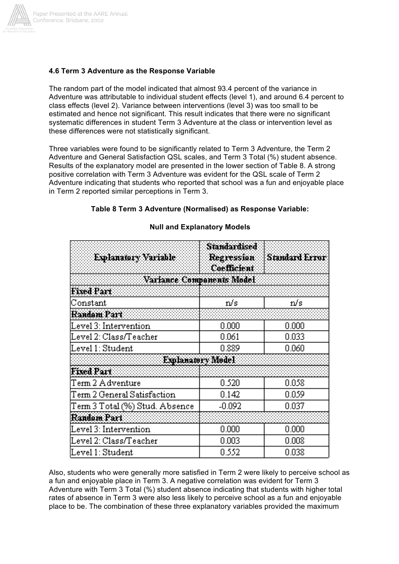

#### **4.6 Term 3 Adventure as the Response Variable**

The random part of the model indicated that almost 93.4 percent of the variance in Adventure was attributable to individual student effects (level 1), and around 6.4 percent to class effects (level 2). Variance between interventions (level 3) was too small to be estimated and hence not significant. This result indicates that there were no significant systematic differences in student Term 3 Adventure at the class or intervention level as these differences were not statistically significant.

Three variables were found to be significantly related to Term 3 Adventure, the Term 2 Adventure and General Satisfaction QSL scales, and Term 3 Total (%) student absence. Results of the explanatory model are presented in the lower section of Table 8. A strong positive correlation with Term 3 Adventure was evident for the QSL scale of Term 2 Adventure indicating that students who reported that school was a fun and enjoyable place in Term 2 reported similar perceptions in Term 3.

## **Table 8 Term 3 Adventure (Normalised) as Response Variable:**

| Explanatory Variable           | Standardised<br>Regression<br>Coefficient | Standard Error |
|--------------------------------|-------------------------------------------|----------------|
| Variance Companents Model      |                                           |                |
| Fixed Part                     |                                           |                |
| Constant                       | n/s                                       | n/s            |
| Random Part                    |                                           |                |
| Level 3: Intervention          | 0.000                                     | 0.000          |
| Level 2: Class/Teacher         | 0.061                                     | 0.033          |
| Level 1: Student               | 0.889                                     | 0.060          |
|                                | Explanatory Model                         |                |
| Fixed Part                     |                                           |                |
| Term 2 Adventure               | 0.520                                     | 0.058          |
| Term 2 General Satisfaction    | 0.142                                     | 0.059          |
| Term 3 Total (%) Stud. Absence | $-0.092$                                  | 0.037          |
| Random Part                    |                                           |                |
| Level 3: Intervention          | 0.000                                     | 0.000          |
| Level 2: Class/Teacher         | 0.003                                     | 0.008          |
| Level 1: Student               | 0.552                                     | 0.038          |

#### **Null and Explanatory Models**

Also, students who were generally more satisfied in Term 2 were likely to perceive school as a fun and enjoyable place in Term 3. A negative correlation was evident for Term 3 Adventure with Term 3 Total (%) student absence indicating that students with higher total rates of absence in Term 3 were also less likely to perceive school as a fun and enjoyable place to be. The combination of these three explanatory variables provided the maximum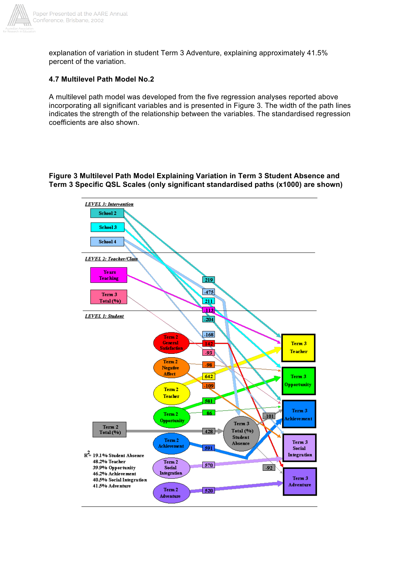

explanation of variation in student Term 3 Adventure, explaining approximately 41.5% percent of the variation.

#### **4.7 Multilevel Path Model No.2**

A multilevel path model was developed from the five regression analyses reported above incorporating all significant variables and is presented in Figure 3. The width of the path lines indicates the strength of the relationship between the variables. The standardised regression coefficients are also shown.

#### **Figure 3 Multilevel Path Model Explaining Variation in Term 3 Student Absence and Term 3 Specific QSL Scales (only significant standardised paths (x1000) are shown)**

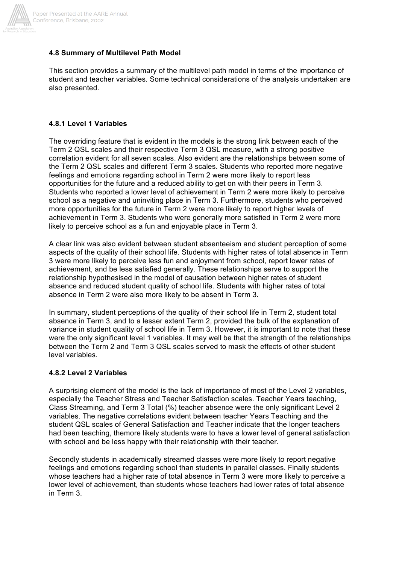

## **4.8 Summary of Multilevel Path Model**

This section provides a summary of the multilevel path model in terms of the importance of student and teacher variables. Some technical considerations of the analysis undertaken are also presented.

## **4.8.1 Level 1 Variables**

The overriding feature that is evident in the models is the strong link between each of the Term 2 QSL scales and their respective Term 3 QSL measure, with a strong positive correlation evident for all seven scales. Also evident are the relationships between some of the Term 2 QSL scales and different Term 3 scales. Students who reported more negative feelings and emotions regarding school in Term 2 were more likely to report less opportunities for the future and a reduced ability to get on with their peers in Term 3. Students who reported a lower level of achievement in Term 2 were more likely to perceive school as a negative and uninviting place in Term 3. Furthermore, students who perceived more opportunities for the future in Term 2 were more likely to report higher levels of achievement in Term 3. Students who were generally more satisfied in Term 2 were more likely to perceive school as a fun and enjoyable place in Term 3.

A clear link was also evident between student absenteeism and student perception of some aspects of the quality of their school life. Students with higher rates of total absence in Term 3 were more likely to perceive less fun and enjoyment from school, report lower rates of achievement, and be less satisfied generally. These relationships serve to support the relationship hypothesised in the model of causation between higher rates of student absence and reduced student quality of school life. Students with higher rates of total absence in Term 2 were also more likely to be absent in Term 3.

In summary, student perceptions of the quality of their school life in Term 2, student total absence in Term 3, and to a lesser extent Term 2, provided the bulk of the explanation of variance in student quality of school life in Term 3. However, it is important to note that these were the only significant level 1 variables. It may well be that the strength of the relationships between the Term 2 and Term 3 QSL scales served to mask the effects of other student level variables.

## **4.8.2 Level 2 Variables**

A surprising element of the model is the lack of importance of most of the Level 2 variables, especially the Teacher Stress and Teacher Satisfaction scales. Teacher Years teaching, Class Streaming, and Term 3 Total (%) teacher absence were the only significant Level 2 variables. The negative correlations evident between teacher Years Teaching and the student QSL scales of General Satisfaction and Teacher indicate that the longer teachers had been teaching, themore likely students were to have a lower level of general satisfaction with school and be less happy with their relationship with their teacher.

Secondly students in academically streamed classes were more likely to report negative feelings and emotions regarding school than students in parallel classes. Finally students whose teachers had a higher rate of total absence in Term 3 were more likely to perceive a lower level of achievement, than students whose teachers had lower rates of total absence in Term 3.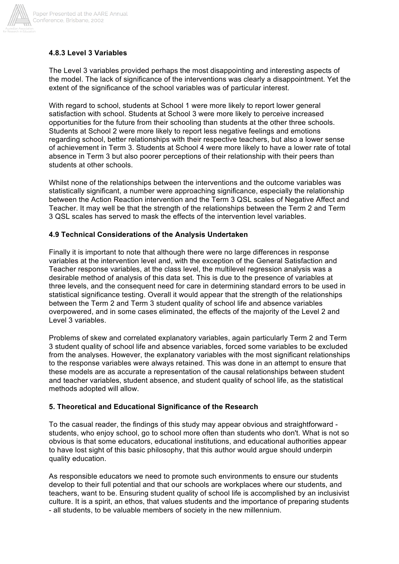

## **4.8.3 Level 3 Variables**

The Level 3 variables provided perhaps the most disappointing and interesting aspects of the model. The lack of significance of the interventions was clearly a disappointment. Yet the extent of the significance of the school variables was of particular interest.

With regard to school, students at School 1 were more likely to report lower general satisfaction with school. Students at School 3 were more likely to perceive increased opportunities for the future from their schooling than students at the other three schools. Students at School 2 were more likely to report less negative feelings and emotions regarding school, better relationships with their respective teachers, but also a lower sense of achievement in Term 3. Students at School 4 were more likely to have a lower rate of total absence in Term 3 but also poorer perceptions of their relationship with their peers than students at other schools.

Whilst none of the relationships between the interventions and the outcome variables was statistically significant, a number were approaching significance, especially the relationship between the Action Reaction intervention and the Term 3 QSL scales of Negative Affect and Teacher. It may well be that the strength of the relationships between the Term 2 and Term 3 QSL scales has served to mask the effects of the intervention level variables.

## **4.9 Technical Considerations of the Analysis Undertaken**

Finally it is important to note that although there were no large differences in response variables at the intervention level and, with the exception of the General Satisfaction and Teacher response variables, at the class level, the multilevel regression analysis was a desirable method of analysis of this data set. This is due to the presence of variables at three levels, and the consequent need for care in determining standard errors to be used in statistical significance testing. Overall it would appear that the strength of the relationships between the Term 2 and Term 3 student quality of school life and absence variables overpowered, and in some cases eliminated, the effects of the majority of the Level 2 and Level 3 variables.

Problems of skew and correlated explanatory variables, again particularly Term 2 and Term 3 student quality of school life and absence variables, forced some variables to be excluded from the analyses. However, the explanatory variables with the most significant relationships to the response variables were always retained. This was done in an attempt to ensure that these models are as accurate a representation of the causal relationships between student and teacher variables, student absence, and student quality of school life, as the statistical methods adopted will allow.

## **5. Theoretical and Educational Significance of the Research**

To the casual reader, the findings of this study may appear obvious and straightforward students, who enjoy school, go to school more often than students who don't. What is not so obvious is that some educators, educational institutions, and educational authorities appear to have lost sight of this basic philosophy, that this author would argue should underpin quality education.

As responsible educators we need to promote such environments to ensure our students develop to their full potential and that our schools are workplaces where our students, and teachers, want to be. Ensuring student quality of school life is accomplished by an inclusivist culture. It is a spirit, an ethos, that values students and the importance of preparing students - all students, to be valuable members of society in the new millennium.